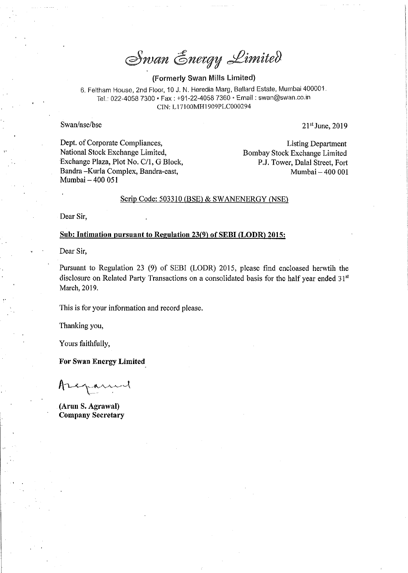Swan Energy Limited

(Formerly Swan Mills Limited)

6. Feltham House, 2nd Floor, <sup>10</sup> J. N. Heredia Marg, Ballard Estate, Mumbai 400001. Tel.: 022-4058 7300 • Fax : +91-22-4058 7360 • Email : swan@swan.co.ir CTN: L17100M111909PLC000294

Swan/nse/bse  $21<sup>st</sup> June, 2019$ 

l

Dept. of Corporate Compliances,<br>
National Stock Exchange Limited,<br>
Bombay Stock Exchange Limited Exchange Plaza, Plot No. C/1, G Block, Bandra - Kurla Complex, Bandra-east, Mumbai — 400 051

Bombay Stock Exchange Limited<br>P.J. Tower, Dalal Street, Fort Mumbai - 400 001

### Scrip Code: 503310 (BSE) & SWANENERGY (NSE)

Dear Sir,

#### Sub: Intimation pursuant to Regulation 23(9) of SEBI (LODR) 2015:

Dear Sir,

Pursuant to Regulation <sup>23</sup> (9) of SEBI (LODR) 2015, please find cncloased herwtih the disclosure on Related Party Transactions on a consolidated basis for the half year ended 31<sup>st</sup> March, 2019.

This is for your information and record please.

Thanking you,

Yours faithfully,

For Swan Energy Limited

 $A$ 

(Arun S. Agrawal) Company Secretary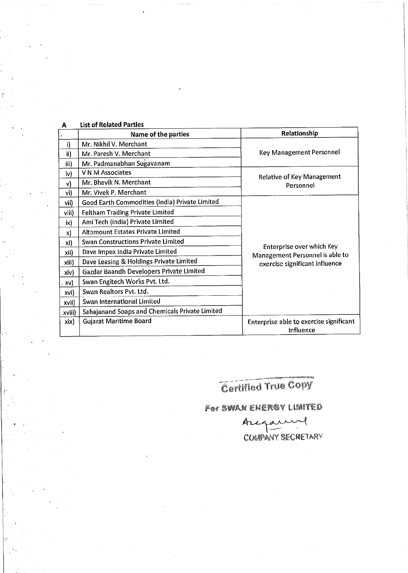| А            | List of Related Parties                        |                                                      |
|--------------|------------------------------------------------|------------------------------------------------------|
| $\mathbf{r}$ | Name of the parties                            | Relationship                                         |
| i)           | Mr. Nikhil V. Merchant                         |                                                      |
| ii)          | Mr. Paresh V. Merchant                         | Key Management Personnel                             |
| iii)         | Mr. Padmanabhan Sugavanam                      |                                                      |
| iv)          | V N M Associates                               | Relative of Key Management                           |
| v)           | Mr. Bhavik N. Merchant                         | Personnel                                            |
| vi)          | Mr. Vivek P. Merchant                          |                                                      |
| vii)         | Good Earth Commodities (India) Private Limited |                                                      |
| $V$ ii)      | <b>Feltham Trading Private Limited</b>         |                                                      |
| ix)          | Ami Tech (india) Private Limited               |                                                      |
| X)           | <b>Altamount Estates Private Limited</b>       |                                                      |
| xi)          | <b>Swan Constructions Private Limited</b>      | Enterprise over which Key                            |
| xii)         | Dave Impex India Private Limited               | Management Personnel is able to                      |
| xiii)        | Dave Leasing & Holdings Private Limited        | exercise significant influence                       |
| xiv)         | Gazdar Baandh Developers Private Limited       |                                                      |
| xv)          | Swan Engitech Works Pvt. Ltd.                  |                                                      |
| xvi)         | Swan Realtors Pvt. Ltd.                        |                                                      |
| xvii)        | Swan International Limited                     |                                                      |
| xviii)       | Sahajanand Soaps and Chemicals Private Limited |                                                      |
| xix)         | <b>Gujarat Maritime Board</b>                  | Enterprise able to exercise significant<br>influence |

# Cartifled True Copy

## For SWAN ENERGY LIMITED

ALGARE